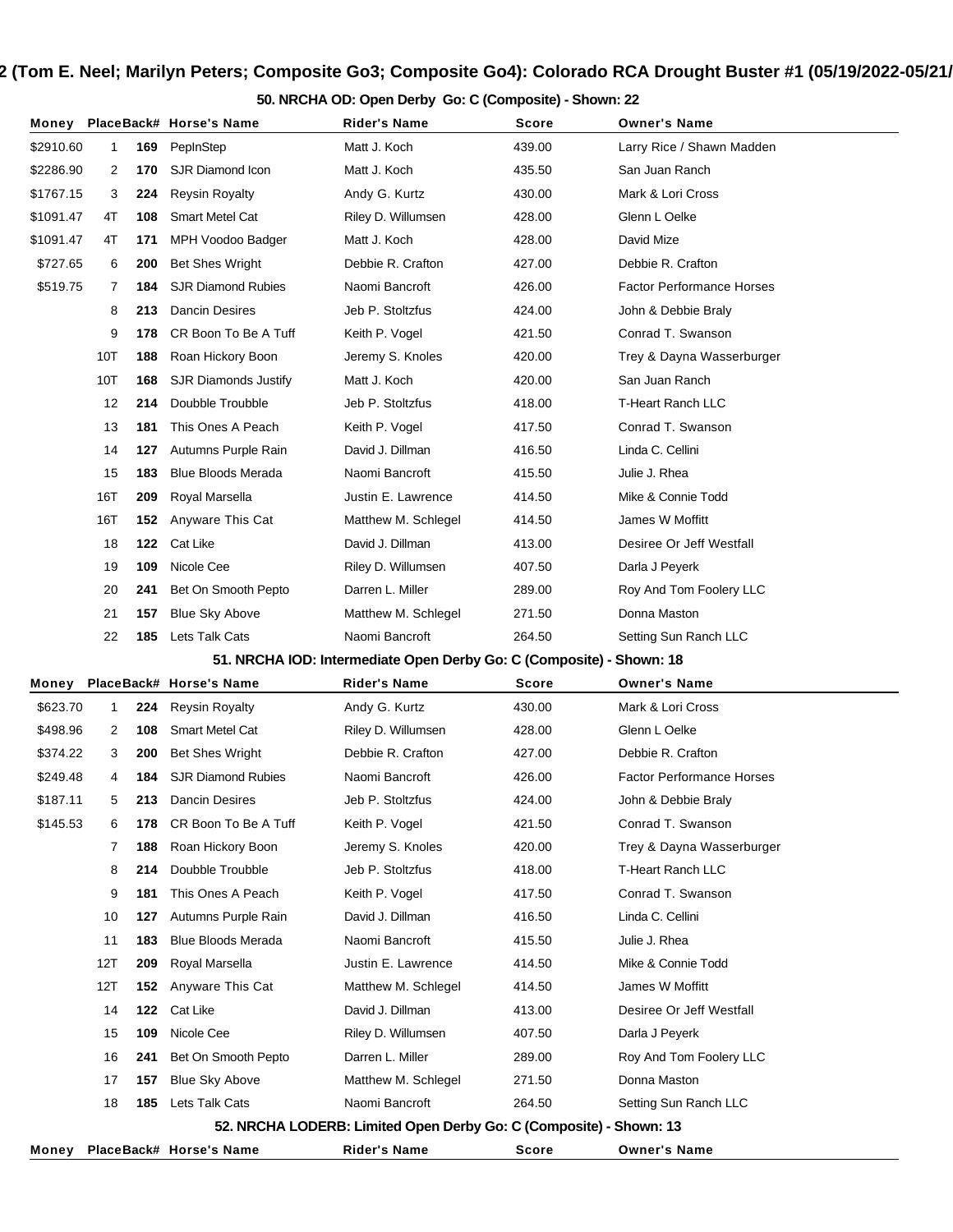**50. NRCHA OD: Open Derby Go: C (Composite) - Shown: 22**

| Money     |              |     | PlaceBack# Horse's Name     | Rider's Name                                                         | Score  | <b>Owner's Name</b>              |
|-----------|--------------|-----|-----------------------------|----------------------------------------------------------------------|--------|----------------------------------|
| \$2910.60 | $\mathbf{1}$ | 169 | PepInStep                   | Matt J. Koch                                                         | 439.00 | Larry Rice / Shawn Madden        |
| \$2286.90 | 2            | 170 | SJR Diamond Icon            | Matt J. Koch                                                         | 435.50 | San Juan Ranch                   |
| \$1767.15 | 3            | 224 | <b>Reysin Royalty</b>       | Andy G. Kurtz                                                        | 430.00 | Mark & Lori Cross                |
| \$1091.47 | 4T           | 108 | <b>Smart Metel Cat</b>      | Riley D. Willumsen                                                   | 428.00 | Glenn L Oelke                    |
| \$1091.47 | 4T           | 171 | MPH Voodoo Badger           | Matt J. Koch                                                         | 428.00 | David Mize                       |
| \$727.65  | 6            | 200 | <b>Bet Shes Wright</b>      | Debbie R. Crafton                                                    | 427.00 | Debbie R. Crafton                |
| \$519.75  | 7            | 184 | <b>SJR Diamond Rubies</b>   | Naomi Bancroft                                                       | 426.00 | <b>Factor Performance Horses</b> |
|           | 8            | 213 | <b>Dancin Desires</b>       | Jeb P. Stoltzfus                                                     | 424.00 | John & Debbie Braly              |
|           | 9            | 178 | CR Boon To Be A Tuff        | Keith P. Vogel                                                       | 421.50 | Conrad T. Swanson                |
|           | 10T          | 188 | Roan Hickory Boon           | Jeremy S. Knoles                                                     | 420.00 | Trey & Dayna Wasserburger        |
|           | 10T          | 168 | <b>SJR Diamonds Justify</b> | Matt J. Koch                                                         | 420.00 | San Juan Ranch                   |
|           | 12           | 214 | Doubble Troubble            | Jeb P. Stoltzfus                                                     | 418.00 | <b>T-Heart Ranch LLC</b>         |
|           | 13           | 181 | This Ones A Peach           | Keith P. Vogel                                                       | 417.50 | Conrad T. Swanson                |
|           | 14           | 127 | Autumns Purple Rain         | David J. Dillman                                                     | 416.50 | Linda C. Cellini                 |
|           | 15           | 183 | <b>Blue Bloods Merada</b>   | Naomi Bancroft                                                       | 415.50 | Julie J. Rhea                    |
|           | 16T          | 209 | Royal Marsella              | Justin E. Lawrence                                                   | 414.50 | Mike & Connie Todd               |
|           | 16T          | 152 | Anyware This Cat            | Matthew M. Schlegel                                                  | 414.50 | James W Moffitt                  |
|           | 18           | 122 | Cat Like                    | David J. Dillman                                                     | 413.00 | Desiree Or Jeff Westfall         |
|           | 19           | 109 | Nicole Cee                  | Riley D. Willumsen                                                   | 407.50 | Darla J Peyerk                   |
|           | 20           | 241 | Bet On Smooth Pepto         | Darren L. Miller                                                     | 289.00 | Roy And Tom Foolery LLC          |
|           | 21           | 157 | <b>Blue Sky Above</b>       | Matthew M. Schlegel                                                  | 271.50 | Donna Maston                     |
|           | 22           | 185 | Lets Talk Cats              | Naomi Bancroft                                                       | 264.50 | Setting Sun Ranch LLC            |
|           |              |     |                             | 51. NRCHA IOD: Intermediate Open Derby Go: C (Composite) - Shown: 18 |        |                                  |
| Money     |              |     | PlaceBack# Horse's Name     | Rider's Name                                                         | Score  | <b>Owner's Name</b>              |
|           |              |     |                             |                                                                      |        |                                  |
| \$623.70  | 1            | 224 | <b>Reysin Royalty</b>       | Andy G. Kurtz                                                        | 430.00 | Mark & Lori Cross                |
| \$498.96  | 2            | 108 | <b>Smart Metel Cat</b>      | Riley D. Willumsen                                                   | 428.00 | Glenn L Oelke                    |
| \$374.22  | 3            | 200 | <b>Bet Shes Wright</b>      | Debbie R. Crafton                                                    | 427.00 | Debbie R. Crafton                |
| \$249.48  | 4            | 184 | <b>SJR Diamond Rubies</b>   | Naomi Bancroft                                                       | 426.00 | <b>Factor Performance Horses</b> |
| \$187.11  | 5            | 213 | Dancin Desires              | Jeb P. Stoltzfus                                                     | 424.00 | John & Debbie Braly              |
| \$145.53  | 6            | 178 | CR Boon To Be A Tuff        | Keith P. Vogel                                                       | 421.50 | Conrad T. Swanson                |
|           | 7            | 188 | Roan Hickory Boon           | Jeremy S. Knoles                                                     | 420.00 | Trey & Dayna Wasserburger        |
|           | 8            | 214 | Doubble Troubble            | Jeb P. Stoltzfus                                                     | 418.00 | T-Heart Ranch LLC                |
|           | 9            | 181 | This Ones A Peach           | Keith P. Vogel                                                       | 417.50 | Conrad T. Swanson                |
|           | 10           | 127 | Autumns Purple Rain         | David J. Dillman                                                     | 416.50 | Linda C. Cellini                 |
|           | 11           | 183 | <b>Blue Bloods Merada</b>   | Naomi Bancroft                                                       | 415.50 | Julie J. Rhea                    |
|           | 12T          | 209 | Royal Marsella              | Justin E. Lawrence                                                   | 414.50 | Mike & Connie Todd               |
|           | 12T          | 152 | Anyware This Cat            | Matthew M. Schlegel                                                  | 414.50 | James W Moffitt                  |
|           | 14           | 122 | Cat Like                    | David J. Dillman                                                     | 413.00 | Desiree Or Jeff Westfall         |
|           | 15           | 109 | Nicole Cee                  | Riley D. Willumsen                                                   | 407.50 | Darla J Peyerk                   |
|           | 16           | 241 | Bet On Smooth Pepto         | Darren L. Miller                                                     | 289.00 | Roy And Tom Foolery LLC          |
|           | 17           | 157 | <b>Blue Sky Above</b>       | Matthew M. Schlegel                                                  | 271.50 | Donna Maston                     |
|           | 18           | 185 | Lets Talk Cats              | Naomi Bancroft                                                       | 264.50 | Setting Sun Ranch LLC            |
|           |              |     | PlaceBack# Horse's Name     | 52. NRCHA LODERB: Limited Open Derby Go: C (Composite) - Shown: 13   |        |                                  |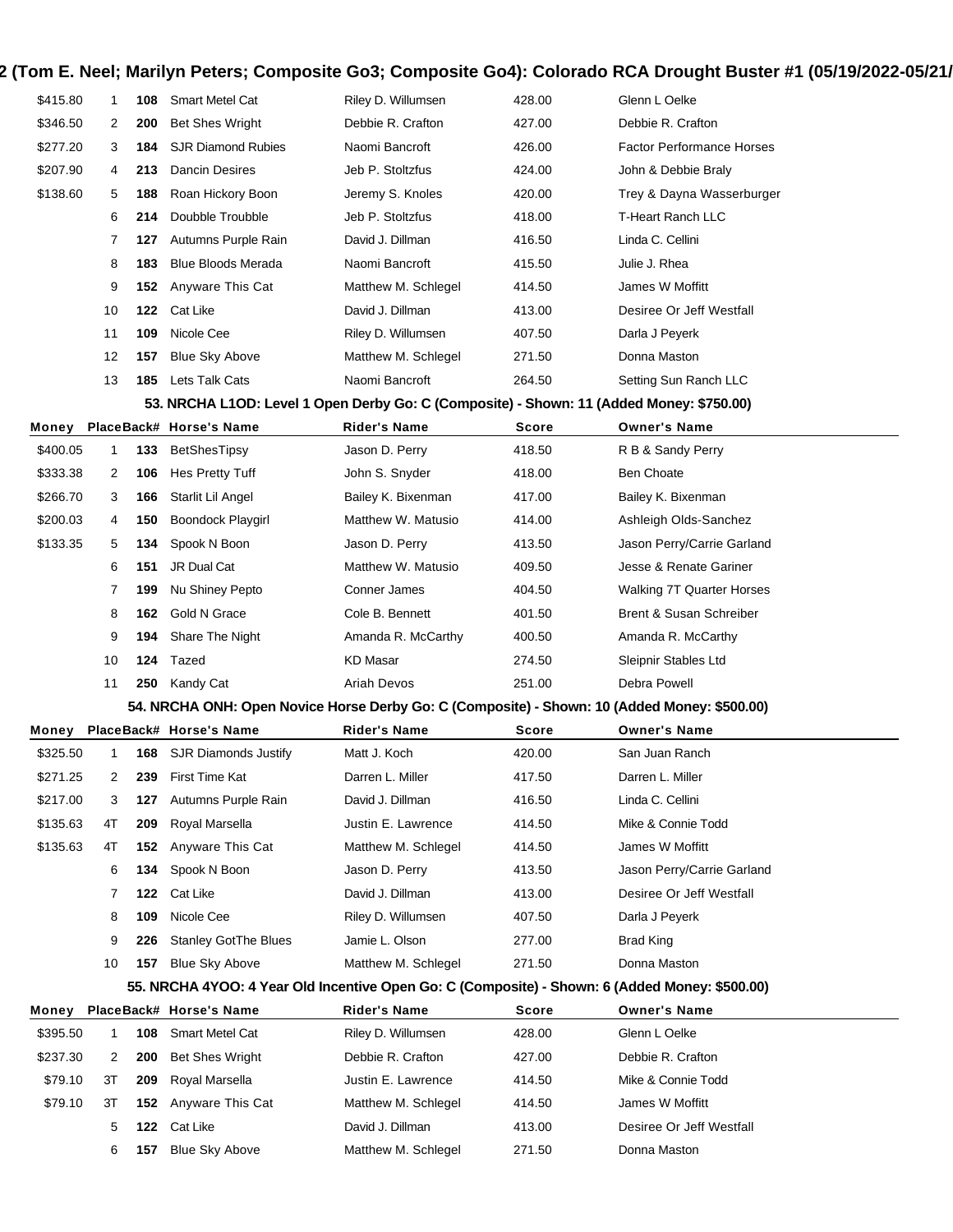| \$415.80 | 1.             | 108 | <b>Smart Metel Cat</b>      | Riley D. Willumsen  | 428.00 | Glenn L Oelke                    |
|----------|----------------|-----|-----------------------------|---------------------|--------|----------------------------------|
| \$346.50 | $\overline{2}$ | 200 | <b>Bet Shes Wright</b>      | Debbie R. Crafton   | 427.00 | Debbie R. Crafton                |
| \$277.20 | 3              | 184 | <b>SJR Diamond Rubies</b>   | Naomi Bancroft      | 426.00 | <b>Factor Performance Horses</b> |
| \$207.90 | 4              | 213 | Dancin Desires              | Jeb P. Stoltzfus    | 424.00 | John & Debbie Braly              |
| \$138.60 | 5              | 188 | Roan Hickory Boon           | Jeremy S. Knoles    | 420.00 | Trey & Dayna Wasserburger        |
|          | 6              | 214 | Doubble Troubble            | Jeb P. Stoltzfus    | 418.00 | T-Heart Ranch LLC                |
|          | 7              | 127 | Autumns Purple Rain         | David J. Dillman    | 416.50 | Linda C. Cellini                 |
|          | 8              | 183 | <b>Blue Bloods Merada</b>   | Naomi Bancroft      | 415.50 | Julie J. Rhea                    |
|          | 9              |     | <b>152</b> Anyware This Cat | Matthew M. Schlegel | 414.50 | James W Moffitt                  |
|          | 10             |     | 122 Cat Like                | David J. Dillman    | 413.00 | Desiree Or Jeff Westfall         |
|          | 11             | 109 | Nicole Cee                  | Riley D. Willumsen  | 407.50 | Darla J Peyerk                   |
|          | 12             | 157 | <b>Blue Sky Above</b>       | Matthew M. Schlegel | 271.50 | Donna Maston                     |
|          | 13             | 185 | Lets Talk Cats              | Naomi Bancroft      | 264.50 | Setting Sun Ranch LLC            |

#### **53. NRCHA L1OD: Level 1 Open Derby Go: C (Composite) - Shown: 11 (Added Money: \$750.00)**

| Money    |    |     | PlaceBack# Horse's Name  | <b>Rider's Name</b> | <b>Score</b> | <b>Owner's Name</b>              |
|----------|----|-----|--------------------------|---------------------|--------------|----------------------------------|
| \$400.05 |    | 133 | <b>BetShesTipsy</b>      | Jason D. Perry      | 418.50       | R B & Sandy Perry                |
| \$333.38 | 2  | 106 | Hes Pretty Tuff          | John S. Snyder      | 418.00       | <b>Ben Choate</b>                |
| \$266.70 | 3  | 166 | Starlit Lil Angel        | Bailey K. Bixenman  | 417.00       | Bailey K. Bixenman               |
| \$200.03 | 4  | 150 | <b>Boondock Playgirl</b> | Matthew W. Matusio  | 414.00       | Ashleigh Olds-Sanchez            |
| \$133.35 | 5  | 134 | Spook N Boon             | Jason D. Perry      | 413.50       | Jason Perry/Carrie Garland       |
|          | 6  | 151 | JR Dual Cat              | Matthew W. Matusio  | 409.50       | Jesse & Renate Gariner           |
|          |    | 199 | Nu Shiney Pepto          | Conner James        | 404.50       | <b>Walking 7T Quarter Horses</b> |
|          | 8  | 162 | Gold N Grace             | Cole B. Bennett     | 401.50       | Brent & Susan Schreiber          |
|          | 9  | 194 | Share The Night          | Amanda R. McCarthy  | 400.50       | Amanda R. McCarthy               |
|          | 10 | 124 | Tazed                    | KD Masar            | 274.50       | Sleipnir Stables Ltd             |
|          | 11 | 250 | Kandy Cat                | Ariah Devos         | 251.00       | Debra Powell                     |

#### **54. NRCHA ONH: Open Novice Horse Derby Go: C (Composite) - Shown: 10 (Added Money: \$500.00)**

| Money    |    |     | PlaceBack# Horse's Name     | <b>Rider's Name</b> | <b>Score</b> | <b>Owner's Name</b>        |  |
|----------|----|-----|-----------------------------|---------------------|--------------|----------------------------|--|
| \$325.50 |    | 168 | SJR Diamonds Justify        | Matt J. Koch        | 420.00       | San Juan Ranch             |  |
| \$271.25 | 2  | 239 | First Time Kat              | Darren L. Miller    | 417.50       | Darren L. Miller           |  |
| \$217.00 | 3  | 127 | Autumns Purple Rain         | David J. Dillman    | 416.50       | Linda C. Cellini           |  |
| \$135.63 | 4T | 209 | Royal Marsella              | Justin E. Lawrence  | 414.50       | Mike & Connie Todd         |  |
| \$135.63 | 4T |     | <b>152</b> Anyware This Cat | Matthew M. Schlegel | 414.50       | James W Moffitt            |  |
|          | 6  | 134 | Spook N Boon                | Jason D. Perry      | 413.50       | Jason Perry/Carrie Garland |  |
|          |    | 122 | Cat Like                    | David J. Dillman    | 413.00       | Desiree Or Jeff Westfall   |  |
|          | 8  | 109 | Nicole Cee                  | Riley D. Willumsen  | 407.50       | Darla J Peyerk             |  |
|          | 9  | 226 | <b>Stanley GotThe Blues</b> | Jamie L. Olson      | 277.00       | Brad King                  |  |
|          | 10 | 157 | <b>Blue Sky Above</b>       | Matthew M. Schlegel | 271.50       | Donna Maston               |  |

#### **55. NRCHA 4YOO: 4 Year Old Incentive Open Go: C (Composite) - Shown: 6 (Added Money: \$500.00)**

| Money    |    |     | PlaceBack# Horse's Name     | <b>Rider's Name</b> | Score  | <b>Owner's Name</b>      |  |
|----------|----|-----|-----------------------------|---------------------|--------|--------------------------|--|
| \$395.50 |    | 108 | Smart Metel Cat             | Riley D. Willumsen  | 428.00 | Glenn L Oelke            |  |
| \$237.30 | 2  | 200 | <b>Bet Shes Wright</b>      | Debbie R. Crafton   | 427.00 | Debbie R. Crafton        |  |
| \$79.10  | 3T | 209 | Roval Marsella              | Justin E. Lawrence  | 414.50 | Mike & Connie Todd       |  |
| \$79.10  | 3T |     | <b>152</b> Anyware This Cat | Matthew M. Schlegel | 414.50 | James W Moffitt          |  |
|          | 5. | 122 | Cat Like                    | David J. Dillman    | 413.00 | Desiree Or Jeff Westfall |  |
|          | 6  | 157 | <b>Blue Sky Above</b>       | Matthew M. Schlegel | 271.50 | Donna Maston             |  |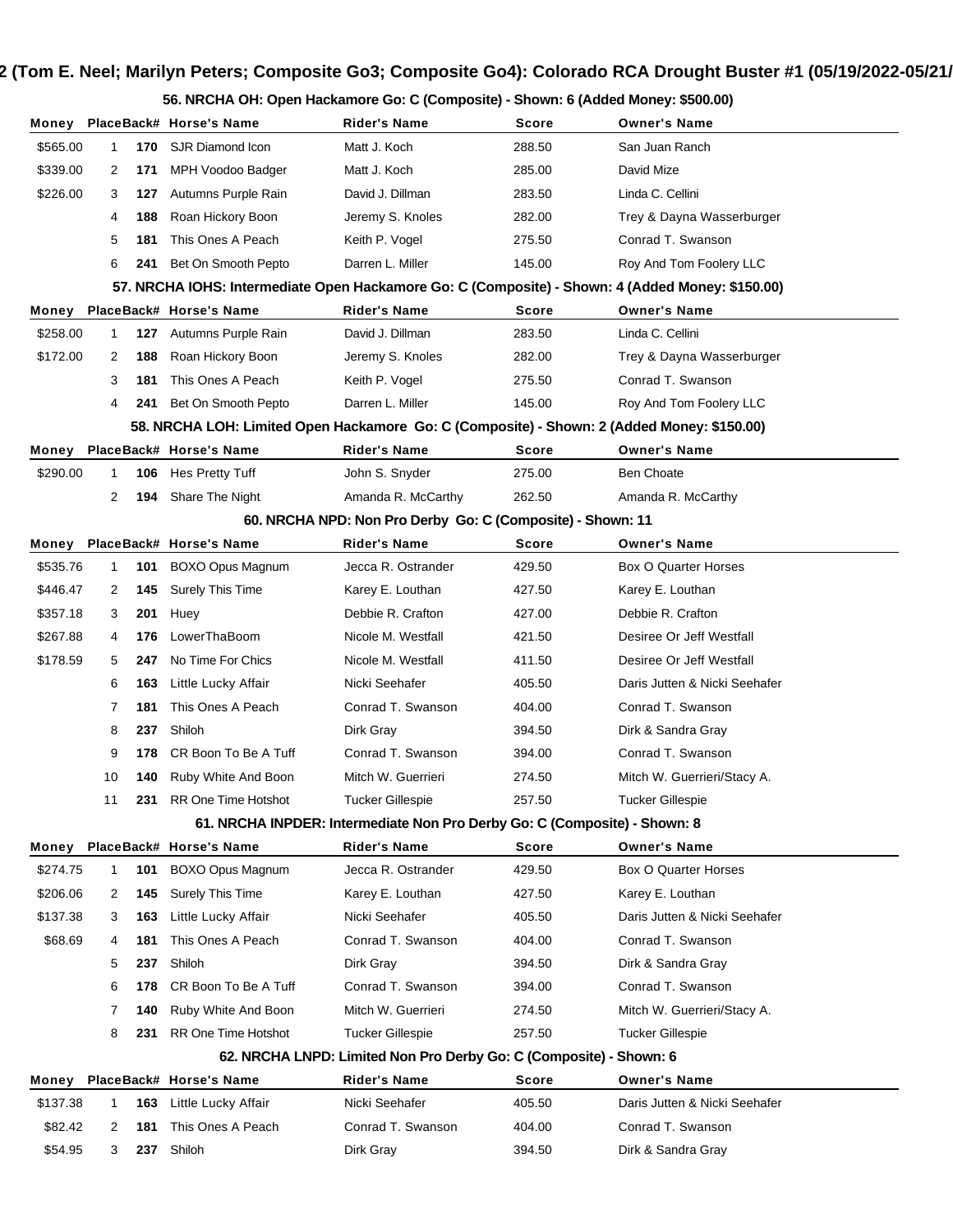**56. NRCHA OH: Open Hackamore Go: C (Composite) - Shown: 6 (Added Money: \$500.00)**

|          |    |     | Money PlaceBack# Horse's Name                                                                    | Rider's Name                                                              | <b>Score</b> | <b>Owner's Name</b>           |
|----------|----|-----|--------------------------------------------------------------------------------------------------|---------------------------------------------------------------------------|--------------|-------------------------------|
| \$565.00 | 1  | 170 | SJR Diamond Icon                                                                                 | Matt J. Koch                                                              | 288.50       | San Juan Ranch                |
| \$339.00 | 2  | 171 | MPH Voodoo Badger                                                                                | Matt J. Koch                                                              | 285.00       | David Mize                    |
| \$226.00 | 3  | 127 | Autumns Purple Rain                                                                              | David J. Dillman                                                          | 283.50       | Linda C. Cellini              |
|          | 4  | 188 | Roan Hickory Boon                                                                                | Jeremy S. Knoles                                                          | 282.00       | Trey & Dayna Wasserburger     |
|          | 5  | 181 | This Ones A Peach                                                                                | Keith P. Vogel                                                            | 275.50       | Conrad T. Swanson             |
|          | 6  | 241 | Bet On Smooth Pepto                                                                              | Darren L. Miller                                                          | 145.00       | Roy And Tom Foolery LLC       |
|          |    |     | 57. NRCHA IOHS: Intermediate Open Hackamore Go: C (Composite) - Shown: 4 (Added Money: \$150.00) |                                                                           |              |                               |
| Money    |    |     | PlaceBack# Horse's Name                                                                          | <b>Rider's Name</b>                                                       | Score        | <b>Owner's Name</b>           |
| \$258.00 | 1  | 127 | Autumns Purple Rain                                                                              | David J. Dillman                                                          | 283.50       | Linda C. Cellini              |
| \$172.00 | 2  | 188 | Roan Hickory Boon                                                                                | Jeremy S. Knoles                                                          | 282.00       | Trey & Dayna Wasserburger     |
|          | 3  | 181 | This Ones A Peach                                                                                | Keith P. Vogel                                                            | 275.50       | Conrad T. Swanson             |
|          | 4  | 241 | Bet On Smooth Pepto                                                                              | Darren L. Miller                                                          | 145.00       | Roy And Tom Foolery LLC       |
|          |    |     | 58. NRCHA LOH: Limited Open Hackamore Go: C (Composite) - Shown: 2 (Added Money: \$150.00)       |                                                                           |              |                               |
| Money    |    |     | PlaceBack# Horse's Name                                                                          | <b>Rider's Name</b>                                                       | Score        | <b>Owner's Name</b>           |
| \$290.00 | 1  | 106 | Hes Pretty Tuff                                                                                  | John S. Snyder                                                            | 275.00       | <b>Ben Choate</b>             |
|          | 2  | 194 | Share The Night                                                                                  | Amanda R. McCarthy                                                        | 262.50       | Amanda R. McCarthy            |
|          |    |     |                                                                                                  | 60. NRCHA NPD: Non Pro Derby Go: C (Composite) - Shown: 11                |              |                               |
| Money    |    |     | PlaceBack# Horse's Name                                                                          | <b>Rider's Name</b>                                                       | Score        | <b>Owner's Name</b>           |
| \$535.76 | 1  | 101 | BOXO Opus Magnum                                                                                 | Jecca R. Ostrander                                                        | 429.50       | Box O Quarter Horses          |
| \$446.47 | 2  | 145 | <b>Surely This Time</b>                                                                          | Karey E. Louthan                                                          | 427.50       | Karey E. Louthan              |
| \$357.18 | 3  | 201 | Huey                                                                                             | Debbie R. Crafton                                                         | 427.00       | Debbie R. Crafton             |
| \$267.88 | 4  | 176 | LowerThaBoom                                                                                     | Nicole M. Westfall                                                        | 421.50       | Desiree Or Jeff Westfall      |
| \$178.59 | 5  | 247 | No Time For Chics                                                                                | Nicole M. Westfall                                                        | 411.50       | Desiree Or Jeff Westfall      |
|          | 6  | 163 | Little Lucky Affair                                                                              | Nicki Seehafer                                                            | 405.50       | Daris Jutten & Nicki Seehafer |
|          | 7  | 181 | This Ones A Peach                                                                                | Conrad T. Swanson                                                         | 404.00       | Conrad T. Swanson             |
|          | 8  | 237 | Shiloh                                                                                           | Dirk Gray                                                                 | 394.50       | Dirk & Sandra Gray            |
|          | 9  | 178 | CR Boon To Be A Tuff                                                                             | Conrad T. Swanson                                                         | 394.00       | Conrad T. Swanson             |
|          | 10 | 140 | Ruby White And Boon                                                                              | Mitch W. Guerrieri                                                        | 274.50       | Mitch W. Guerrieri/Stacy A.   |
|          | 11 | 231 | RR One Time Hotshot                                                                              | <b>Tucker Gillespie</b>                                                   | 257.50       | <b>Tucker Gillespie</b>       |
|          |    |     |                                                                                                  | 61. NRCHA INPDER: Intermediate Non Pro Derby Go: C (Composite) - Shown: 8 |              |                               |
| Money    |    |     | PlaceBack# Horse's Name                                                                          | <b>Rider's Name</b>                                                       | Score        | <b>Owner's Name</b>           |
| \$274.75 | 1  | 101 | BOXO Opus Magnum                                                                                 | Jecca R. Ostrander                                                        | 429.50       | Box O Quarter Horses          |
| \$206.06 | 2  | 145 | <b>Surely This Time</b>                                                                          | Karey E. Louthan                                                          | 427.50       | Karey E. Louthan              |
| \$137.38 | 3  | 163 | Little Lucky Affair                                                                              | Nicki Seehafer                                                            | 405.50       | Daris Jutten & Nicki Seehafer |
| \$68.69  | 4  | 181 | This Ones A Peach                                                                                | Conrad T. Swanson                                                         | 404.00       | Conrad T. Swanson             |
|          | 5  | 237 | Shiloh                                                                                           | Dirk Gray                                                                 | 394.50       | Dirk & Sandra Gray            |
|          | 6  | 178 | CR Boon To Be A Tuff                                                                             | Conrad T. Swanson                                                         | 394.00       | Conrad T. Swanson             |
|          | 7  | 140 | Ruby White And Boon                                                                              | Mitch W. Guerrieri                                                        | 274.50       | Mitch W. Guerrieri/Stacy A.   |
|          | 8  | 231 | RR One Time Hotshot                                                                              | Tucker Gillespie                                                          | 257.50       | <b>Tucker Gillespie</b>       |
|          |    |     |                                                                                                  | 62. NRCHA LNPD: Limited Non Pro Derby Go: C (Composite) - Shown: 6        |              |                               |
| Money    |    |     | PlaceBack# Horse's Name                                                                          | <b>Rider's Name</b>                                                       | Score        | <b>Owner's Name</b>           |
| \$137.38 | 1  | 163 | Little Lucky Affair                                                                              | Nicki Seehafer                                                            | 405.50       | Daris Jutten & Nicki Seehafer |
| \$82.42  | 2  | 181 | This Ones A Peach                                                                                | Conrad T. Swanson                                                         | 404.00       | Conrad T. Swanson             |
| \$54.95  | 3  | 237 | Shiloh                                                                                           | Dirk Gray                                                                 | 394.50       | Dirk & Sandra Gray            |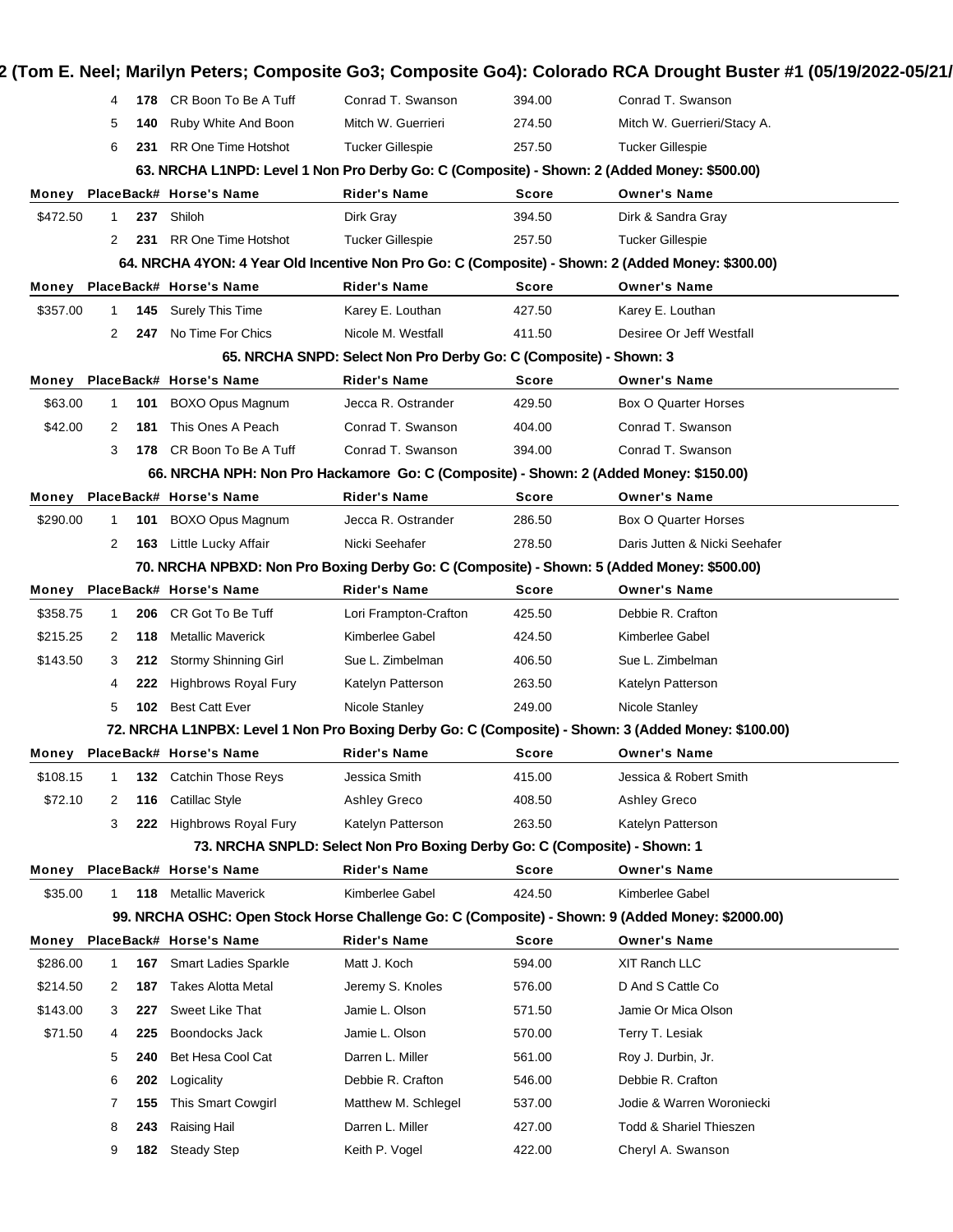|          | 4           |     | 178 CR Boon To Be A Tuff                         | Conrad T. Swanson                                                                     | 394.00                 | Conrad T. Swanson                                                                                   |
|----------|-------------|-----|--------------------------------------------------|---------------------------------------------------------------------------------------|------------------------|-----------------------------------------------------------------------------------------------------|
|          | 5           | 140 | Ruby White And Boon                              | Mitch W. Guerrieri                                                                    | 274.50                 | Mitch W. Guerrieri/Stacy A.                                                                         |
|          | 6           | 231 | <b>RR One Time Hotshot</b>                       | <b>Tucker Gillespie</b>                                                               | 257.50                 | <b>Tucker Gillespie</b>                                                                             |
|          |             |     |                                                  |                                                                                       |                        | 63. NRCHA L1NPD: Level 1 Non Pro Derby Go: C (Composite) - Shown: 2 (Added Money: \$500.00)         |
| Money    |             |     | PlaceBack# Horse's Name                          | <b>Rider's Name</b>                                                                   | Score                  | <b>Owner's Name</b>                                                                                 |
| \$472.50 | 1           |     | 237 Shiloh                                       | Dirk Gray                                                                             | 394.50                 | Dirk & Sandra Gray                                                                                  |
|          | 2           | 231 | RR One Time Hotshot                              | <b>Tucker Gillespie</b>                                                               | 257.50                 | <b>Tucker Gillespie</b>                                                                             |
|          |             |     |                                                  |                                                                                       |                        | 64. NRCHA 4YON: 4 Year Old Incentive Non Pro Go: C (Composite) - Shown: 2 (Added Money: \$300.00)   |
| Money    |             |     | PlaceBack# Horse's Name                          | <b>Rider's Name</b>                                                                   | <b>Score</b>           | <b>Owner's Name</b>                                                                                 |
| \$357.00 | 1           |     | 145 Surely This Time                             | Karey E. Louthan                                                                      | 427.50                 | Karey E. Louthan                                                                                    |
|          | 2           | 247 | No Time For Chics                                | Nicole M. Westfall                                                                    | 411.50                 | Desiree Or Jeff Westfall                                                                            |
|          |             |     |                                                  | 65. NRCHA SNPD: Select Non Pro Derby Go: C (Composite) - Shown: 3                     |                        |                                                                                                     |
| Money    |             |     | PlaceBack# Horse's Name                          | <b>Rider's Name</b>                                                                   | <b>Score</b>           | <b>Owner's Name</b>                                                                                 |
| \$63.00  | 1           | 101 | <b>BOXO Opus Magnum</b>                          | Jecca R. Ostrander                                                                    | 429.50                 | Box O Quarter Horses                                                                                |
| \$42.00  | 2           | 181 | This Ones A Peach                                | Conrad T. Swanson                                                                     | 404.00                 | Conrad T. Swanson                                                                                   |
|          | 3           | 178 | CR Boon To Be A Tuff                             | Conrad T. Swanson                                                                     | 394.00                 | Conrad T. Swanson                                                                                   |
|          |             |     |                                                  | 66. NRCHA NPH: Non Pro Hackamore Go: C (Composite) - Shown: 2 (Added Money: \$150.00) |                        |                                                                                                     |
| Money    |             |     | PlaceBack# Horse's Name                          | <b>Rider's Name</b>                                                                   | <b>Score</b>           | <b>Owner's Name</b>                                                                                 |
| \$290.00 | 1           | 101 | <b>BOXO Opus Magnum</b>                          | Jecca R. Ostrander                                                                    | 286.50                 | Box O Quarter Horses                                                                                |
|          | 2           | 163 | Little Lucky Affair                              | Nicki Seehafer                                                                        | 278.50                 | Daris Jutten & Nicki Seehafer                                                                       |
|          |             |     |                                                  |                                                                                       |                        | 70. NRCHA NPBXD: Non Pro Boxing Derby Go: C (Composite) - Shown: 5 (Added Money: \$500.00)          |
| Money    |             |     | PlaceBack# Horse's Name                          | <b>Rider's Name</b>                                                                   | <b>Score</b>           | <b>Owner's Name</b>                                                                                 |
| \$358.75 | $\mathbf 1$ | 206 | CR Got To Be Tuff                                | Lori Frampton-Crafton                                                                 | 425.50                 | Debbie R. Crafton                                                                                   |
| \$215.25 | 2           | 118 | <b>Metallic Maverick</b>                         | Kimberlee Gabel                                                                       | 424.50                 | Kimberlee Gabel                                                                                     |
| \$143.50 | 3           | 212 | Stormy Shinning Girl                             | Sue L. Zimbelman                                                                      | 406.50                 | Sue L. Zimbelman                                                                                    |
|          | 4           | 222 | <b>Highbrows Royal Fury</b>                      | Katelyn Patterson                                                                     | 263.50                 | Katelyn Patterson                                                                                   |
|          | 5           | 102 | <b>Best Catt Ever</b>                            | Nicole Stanley                                                                        | 249.00                 | Nicole Stanley                                                                                      |
|          |             |     |                                                  |                                                                                       |                        | 72. NRCHA L1NPBX: Level 1 Non Pro Boxing Derby Go: C (Composite) - Shown: 3 (Added Money: \$100.00) |
| Money    |             |     | PlaceBack# Horse's Name                          | <b>Rider's Name</b>                                                                   | Score                  | <b>Owner's Name</b>                                                                                 |
| \$108.15 |             |     | <b>Catchin Those Reys</b>                        | Jessica Smith                                                                         | 415.00                 | Jessica & Robert Smith                                                                              |
| \$72.10  |             | 132 | <b>Catillac Style</b>                            |                                                                                       | 408.50                 |                                                                                                     |
|          | 2           | 116 | <b>Highbrows Royal Fury</b>                      | Ashley Greco                                                                          |                        | Ashley Greco                                                                                        |
|          | 3           | 222 |                                                  | Katelyn Patterson                                                                     | 263.50                 | Katelyn Patterson                                                                                   |
|          |             |     |                                                  | 73. NRCHA SNPLD: Select Non Pro Boxing Derby Go: C (Composite) - Shown: 1             |                        |                                                                                                     |
| Money    |             |     | PlaceBack# Horse's Name<br>118 Metallic Maverick | <b>Rider's Name</b>                                                                   | <b>Score</b><br>424.50 | <b>Owner's Name</b>                                                                                 |
| \$35.00  | 1.          |     |                                                  | Kimberlee Gabel                                                                       |                        | Kimberlee Gabel                                                                                     |
|          |             |     |                                                  |                                                                                       |                        | 99. NRCHA OSHC: Open Stock Horse Challenge Go: C (Composite) - Shown: 9 (Added Money: \$2000.00)    |
| Money    |             |     | PlaceBack# Horse's Name                          | <b>Rider's Name</b>                                                                   | Score                  | <b>Owner's Name</b>                                                                                 |
| \$286.00 | 1           | 167 | <b>Smart Ladies Sparkle</b>                      | Matt J. Koch                                                                          | 594.00                 | XIT Ranch LLC                                                                                       |
| \$214.50 | 2           | 187 | <b>Takes Alotta Metal</b>                        | Jeremy S. Knoles                                                                      | 576.00                 | D And S Cattle Co                                                                                   |
| \$143.00 | 3           | 227 | Sweet Like That                                  | Jamie L. Olson                                                                        | 571.50                 | Jamie Or Mica Olson                                                                                 |
|          | 4           | 225 | Boondocks Jack                                   | Jamie L. Olson                                                                        | 570.00                 | Terry T. Lesiak                                                                                     |
| \$71.50  | 5           | 240 | Bet Hesa Cool Cat                                | Darren L. Miller                                                                      | 561.00                 | Roy J. Durbin, Jr.                                                                                  |
|          |             |     |                                                  | Debbie R. Crafton                                                                     | 546.00                 | Debbie R. Crafton                                                                                   |
|          | 6           | 202 | Logicality                                       |                                                                                       |                        |                                                                                                     |
|          | 7           | 155 | <b>This Smart Cowgirl</b>                        | Matthew M. Schlegel                                                                   | 537.00                 | Jodie & Warren Woroniecki                                                                           |
|          | 8           | 243 | Raising Hail                                     | Darren L. Miller                                                                      | 427.00                 | <b>Todd &amp; Shariel Thieszen</b>                                                                  |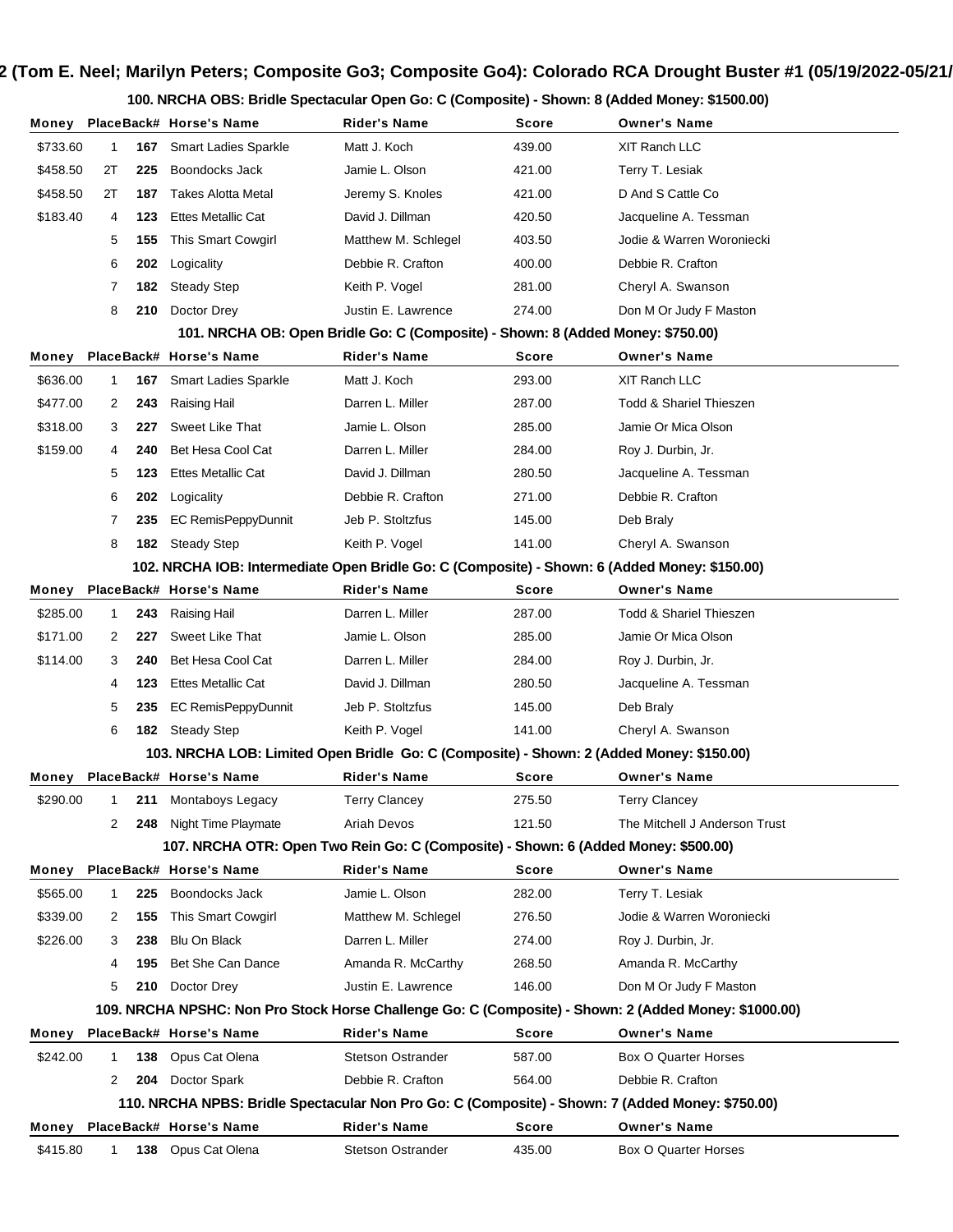**100. NRCHA OBS: Bridle Spectacular Open Go: C (Composite) - Shown: 8 (Added Money: \$1500.00)**

| Money    |    |     | PlaceBack# Horse's Name                                                                          | Rider's Name                                                                    | Score        | <b>Owner's Name</b>                                                                                   |
|----------|----|-----|--------------------------------------------------------------------------------------------------|---------------------------------------------------------------------------------|--------------|-------------------------------------------------------------------------------------------------------|
| \$733.60 | 1  | 167 | <b>Smart Ladies Sparkle</b>                                                                      | Matt J. Koch                                                                    | 439.00       | XIT Ranch LLC                                                                                         |
| \$458.50 | 2Τ | 225 | Boondocks Jack                                                                                   | Jamie L. Olson                                                                  | 421.00       | Terry T. Lesiak                                                                                       |
| \$458.50 | 2Τ | 187 | <b>Takes Alotta Metal</b>                                                                        | Jeremy S. Knoles                                                                | 421.00       | D And S Cattle Co                                                                                     |
| \$183.40 | 4  | 123 | <b>Ettes Metallic Cat</b>                                                                        | David J. Dillman                                                                | 420.50       | Jacqueline A. Tessman                                                                                 |
|          | 5  | 155 | This Smart Cowgirl                                                                               | Matthew M. Schlegel                                                             | 403.50       | Jodie & Warren Woroniecki                                                                             |
|          | 6  | 202 | Logicality                                                                                       | Debbie R. Crafton                                                               | 400.00       | Debbie R. Crafton                                                                                     |
|          | 7  | 182 | <b>Steady Step</b>                                                                               | Keith P. Vogel                                                                  | 281.00       | Cheryl A. Swanson                                                                                     |
|          | 8  | 210 | Doctor Drey                                                                                      | Justin E. Lawrence                                                              | 274.00       | Don M Or Judy F Maston                                                                                |
|          |    |     |                                                                                                  | 101. NRCHA OB: Open Bridle Go: C (Composite) - Shown: 8 (Added Money: \$750.00) |              |                                                                                                       |
| Money    |    |     | PlaceBack# Horse's Name                                                                          | <b>Rider's Name</b>                                                             | Score        | <b>Owner's Name</b>                                                                                   |
| \$636.00 | 1  |     | 167 Smart Ladies Sparkle                                                                         | Matt J. Koch                                                                    | 293.00       | XIT Ranch LLC                                                                                         |
| \$477.00 | 2  | 243 | Raising Hail                                                                                     | Darren L. Miller                                                                | 287.00       | <b>Todd &amp; Shariel Thieszen</b>                                                                    |
| \$318.00 | 3  | 227 | Sweet Like That                                                                                  | Jamie L. Olson                                                                  | 285.00       | Jamie Or Mica Olson                                                                                   |
| \$159.00 | 4  | 240 | Bet Hesa Cool Cat                                                                                | Darren L. Miller                                                                | 284.00       | Roy J. Durbin, Jr.                                                                                    |
|          | 5  | 123 | <b>Ettes Metallic Cat</b>                                                                        | David J. Dillman                                                                | 280.50       | Jacqueline A. Tessman                                                                                 |
|          | 6  | 202 | Logicality                                                                                       | Debbie R. Crafton                                                               | 271.00       | Debbie R. Crafton                                                                                     |
|          | 7  | 235 | EC RemisPeppyDunnit                                                                              | Jeb P. Stoltzfus                                                                | 145.00       | Deb Braly                                                                                             |
|          | 8  | 182 | <b>Steady Step</b>                                                                               | Keith P. Vogel                                                                  | 141.00       | Cheryl A. Swanson                                                                                     |
|          |    |     | 102. NRCHA IOB: Intermediate Open Bridle Go: C (Composite) - Shown: 6 (Added Money: \$150.00)    |                                                                                 |              |                                                                                                       |
| Money    |    |     | PlaceBack# Horse's Name                                                                          | <b>Rider's Name</b>                                                             | <b>Score</b> | <b>Owner's Name</b>                                                                                   |
| \$285.00 | 1  | 243 | Raising Hail                                                                                     | Darren L. Miller                                                                | 287.00       | <b>Todd &amp; Shariel Thieszen</b>                                                                    |
| \$171.00 | 2  | 227 | Sweet Like That                                                                                  | Jamie L. Olson                                                                  | 285.00       | Jamie Or Mica Olson                                                                                   |
| \$114.00 | 3  | 240 | Bet Hesa Cool Cat                                                                                | Darren L. Miller                                                                | 284.00       | Roy J. Durbin, Jr.                                                                                    |
|          | 4  | 123 | <b>Ettes Metallic Cat</b>                                                                        | David J. Dillman                                                                | 280.50       | Jacqueline A. Tessman                                                                                 |
|          | 5  | 235 | <b>EC RemisPeppyDunnit</b>                                                                       | Jeb P. Stoltzfus                                                                | 145.00       | Deb Braly                                                                                             |
|          | 6  | 182 | <b>Steady Step</b>                                                                               | Keith P. Vogel                                                                  | 141.00       | Cheryl A. Swanson                                                                                     |
|          |    |     | 103. NRCHA LOB: Limited Open Bridle Go: C (Composite) - Shown: 2 (Added Money: \$150.00)         |                                                                                 |              |                                                                                                       |
| Money    |    |     | PlaceBack# Horse's Name                                                                          | <b>Rider's Name</b>                                                             | Score        | <b>Owner's Name</b>                                                                                   |
| \$290.00 | 1  | 211 | Montaboys Legacy                                                                                 | <b>Terry Clancey</b>                                                            | 275.50       | <b>Terry Clancey</b>                                                                                  |
|          | 2  | 248 | Night Time Playmate                                                                              | Ariah Devos                                                                     | 121.50       | The Mitchell J Anderson Trust                                                                         |
|          |    |     | 107. NRCHA OTR: Open Two Rein Go: C (Composite) - Shown: 6 (Added Money: \$500.00)               |                                                                                 |              |                                                                                                       |
| Money    |    |     | PlaceBack# Horse's Name                                                                          | <b>Rider's Name</b>                                                             | Score        | <b>Owner's Name</b>                                                                                   |
| \$565.00 | 1  | 225 | Boondocks Jack                                                                                   | Jamie L. Olson                                                                  | 282.00       | Terry T. Lesiak                                                                                       |
| \$339.00 | 2  | 155 | This Smart Cowgirl                                                                               | Matthew M. Schlegel                                                             | 276.50       | Jodie & Warren Woroniecki                                                                             |
| \$226.00 | 3  | 238 | Blu On Black                                                                                     | Darren L. Miller                                                                | 274.00       | Roy J. Durbin, Jr.                                                                                    |
|          | 4  | 195 | Bet She Can Dance                                                                                | Amanda R. McCarthy                                                              | 268.50       | Amanda R. McCarthy                                                                                    |
|          | 5  | 210 | Doctor Drey                                                                                      | Justin E. Lawrence                                                              | 146.00       | Don M Or Judy F Maston                                                                                |
|          |    |     |                                                                                                  |                                                                                 |              | 109. NRCHA NPSHC: Non Pro Stock Horse Challenge Go: C (Composite) - Shown: 2 (Added Money: \$1000.00) |
| Money    |    |     | PlaceBack# Horse's Name                                                                          | <b>Rider's Name</b>                                                             | Score        | <b>Owner's Name</b>                                                                                   |
| \$242.00 | 1  | 138 | Opus Cat Olena                                                                                   | <b>Stetson Ostrander</b>                                                        | 587.00       | <b>Box O Quarter Horses</b>                                                                           |
|          | 2  | 204 | Doctor Spark                                                                                     | Debbie R. Crafton                                                               | 564.00       | Debbie R. Crafton                                                                                     |
|          |    |     | 110. NRCHA NPBS: Bridle Spectacular Non Pro Go: C (Composite) - Shown: 7 (Added Money: \$750.00) |                                                                                 |              |                                                                                                       |
| Money    |    |     | PlaceBack# Horse's Name                                                                          | <b>Rider's Name</b>                                                             | Score        | <b>Owner's Name</b>                                                                                   |
| \$415.80 | 1  | 138 | Opus Cat Olena                                                                                   | <b>Stetson Ostrander</b>                                                        | 435.00       | <b>Box O Quarter Horses</b>                                                                           |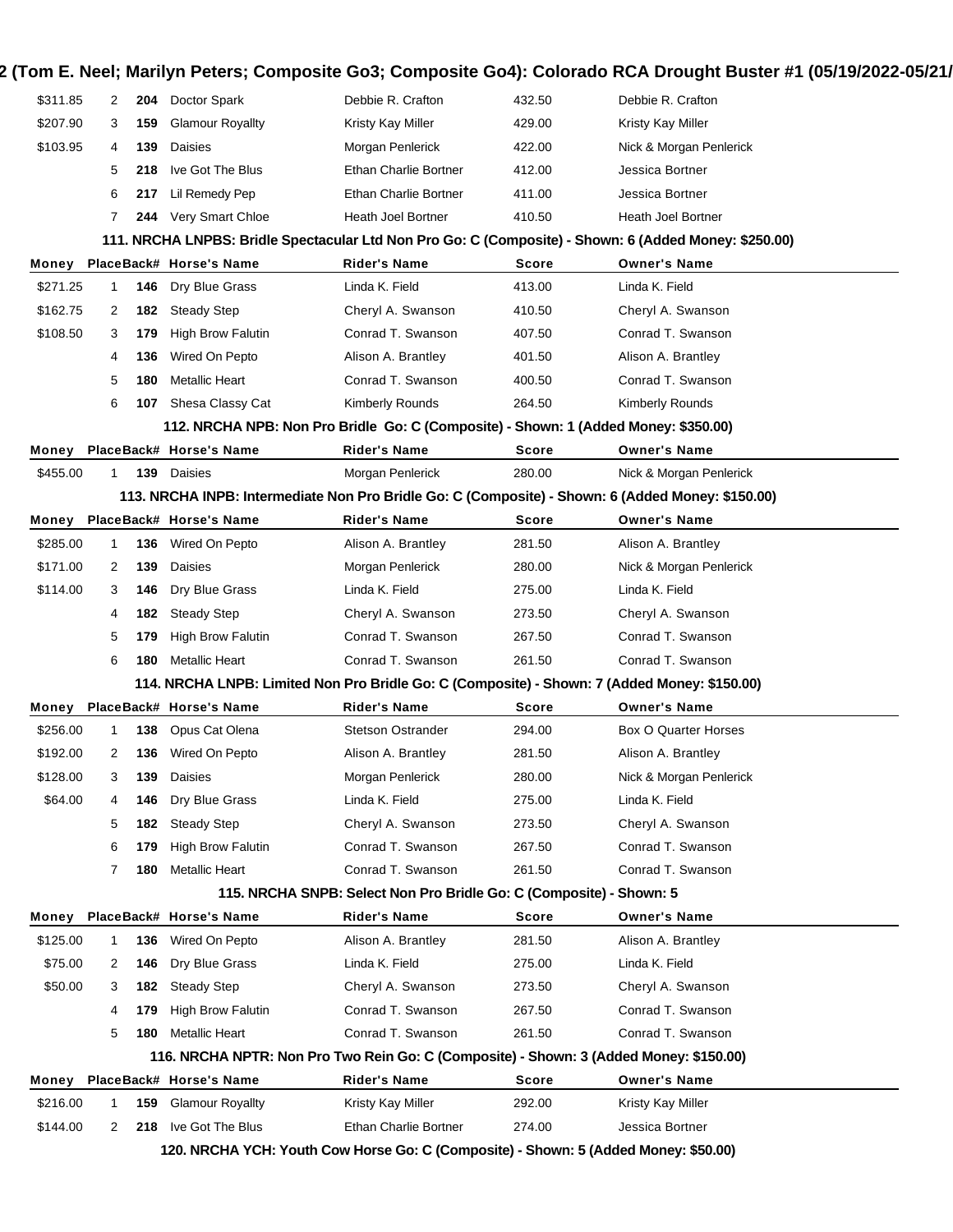| \$311.85 | 2            | 204 | Doctor Spark                                                                                      | Debbie R. Crafton                                                   | 432.50       | Debbie R. Crafton                                                                                     |
|----------|--------------|-----|---------------------------------------------------------------------------------------------------|---------------------------------------------------------------------|--------------|-------------------------------------------------------------------------------------------------------|
| \$207.90 | 3            | 159 | <b>Glamour Royallty</b>                                                                           | Kristy Kay Miller                                                   | 429.00       | Kristy Kay Miller                                                                                     |
| \$103.95 | 4            | 139 | Daisies                                                                                           | Morgan Penlerick                                                    | 422.00       | Nick & Morgan Penlerick                                                                               |
|          | 5            | 218 | Ive Got The Blus                                                                                  | Ethan Charlie Bortner                                               | 412.00       | Jessica Bortner                                                                                       |
|          | 6            | 217 | Lil Remedy Pep                                                                                    | Ethan Charlie Bortner                                               | 411.00       | Jessica Bortner                                                                                       |
|          | 7            | 244 | Very Smart Chloe                                                                                  | Heath Joel Bortner                                                  | 410.50       | Heath Joel Bortner                                                                                    |
|          |              |     |                                                                                                   |                                                                     |              | 111. NRCHA LNPBS: Bridle Spectacular Ltd Non Pro Go: C (Composite) - Shown: 6 (Added Money: \$250.00) |
| Money    |              |     | PlaceBack# Horse's Name                                                                           | <b>Rider's Name</b>                                                 | <b>Score</b> | <b>Owner's Name</b>                                                                                   |
| \$271.25 | $\mathbf{1}$ | 146 | Dry Blue Grass                                                                                    | Linda K. Field                                                      | 413.00       | Linda K. Field                                                                                        |
| \$162.75 | 2            | 182 | <b>Steady Step</b>                                                                                | Cheryl A. Swanson                                                   | 410.50       | Cheryl A. Swanson                                                                                     |
| \$108.50 | 3            | 179 | <b>High Brow Falutin</b>                                                                          | Conrad T. Swanson                                                   | 407.50       | Conrad T. Swanson                                                                                     |
|          | 4            | 136 | Wired On Pepto                                                                                    | Alison A. Brantley                                                  | 401.50       | Alison A. Brantley                                                                                    |
|          | 5            | 180 | <b>Metallic Heart</b>                                                                             | Conrad T. Swanson                                                   | 400.50       | Conrad T. Swanson                                                                                     |
|          | 6            | 107 | Shesa Classy Cat                                                                                  | Kimberly Rounds                                                     | 264.50       | Kimberly Rounds                                                                                       |
|          |              |     | 112. NRCHA NPB: Non Pro Bridle Go: C (Composite) - Shown: 1 (Added Money: \$350.00)               |                                                                     |              |                                                                                                       |
| Money    |              |     | PlaceBack# Horse's Name                                                                           | <b>Rider's Name</b>                                                 | <b>Score</b> | <b>Owner's Name</b>                                                                                   |
| \$455.00 | $\mathbf{1}$ | 139 | Daisies                                                                                           | Morgan Penlerick                                                    | 280.00       | Nick & Morgan Penlerick                                                                               |
|          |              |     | 113. NRCHA INPB: Intermediate Non Pro Bridle Go: C (Composite) - Shown: 6 (Added Money: \$150.00) |                                                                     |              |                                                                                                       |
| Money    |              |     | PlaceBack# Horse's Name                                                                           | Rider's Name                                                        | Score        | <b>Owner's Name</b>                                                                                   |
| \$285.00 | $\mathbf{1}$ | 136 | Wired On Pepto                                                                                    | Alison A. Brantley                                                  | 281.50       | Alison A. Brantley                                                                                    |
| \$171.00 | 2            | 139 | Daisies                                                                                           | Morgan Penlerick                                                    | 280.00       | Nick & Morgan Penlerick                                                                               |
| \$114.00 | 3            | 146 | Dry Blue Grass                                                                                    | Linda K. Field                                                      | 275.00       | Linda K. Field                                                                                        |
|          | 4            | 182 | <b>Steady Step</b>                                                                                | Cheryl A. Swanson                                                   | 273.50       | Cheryl A. Swanson                                                                                     |
|          | 5            | 179 | <b>High Brow Falutin</b>                                                                          | Conrad T. Swanson                                                   | 267.50       | Conrad T. Swanson                                                                                     |
|          | 6            | 180 | <b>Metallic Heart</b>                                                                             | Conrad T. Swanson                                                   | 261.50       | Conrad T. Swanson                                                                                     |
|          |              |     | 114. NRCHA LNPB: Limited Non Pro Bridle Go: C (Composite) - Shown: 7 (Added Money: \$150.00)      |                                                                     |              |                                                                                                       |
| Money    |              |     | PlaceBack# Horse's Name                                                                           | <b>Rider's Name</b>                                                 | <b>Score</b> | <b>Owner's Name</b>                                                                                   |
| \$256.00 | $\mathbf{1}$ | 138 | Opus Cat Olena                                                                                    | <b>Stetson Ostrander</b>                                            | 294.00       | <b>Box O Quarter Horses</b>                                                                           |
| \$192.00 | 2            | 136 | Wired On Pepto                                                                                    | Alison A. Brantley                                                  | 281.50       | Alison A. Brantley                                                                                    |
| \$128.00 | 3            | 139 | Daisies                                                                                           | Morgan Penlerick                                                    | 280.00       | Nick & Morgan Penlerick                                                                               |
| \$64.00  | 4            | 146 | Dry Blue Grass                                                                                    | Linda K. Field                                                      | 275.00       | Linda K. Field                                                                                        |
|          | 5            | 182 | <b>Steady Step</b>                                                                                | Cheryl A. Swanson                                                   | 273.50       | Cheryl A. Swanson                                                                                     |
|          | 6            | 179 | <b>High Brow Falutin</b>                                                                          | Conrad T. Swanson                                                   | 267.50       | Conrad T. Swanson                                                                                     |
|          | 7            | 180 | Metallic Heart                                                                                    | Conrad T. Swanson                                                   | 261.50       | Conrad T. Swanson                                                                                     |
|          |              |     |                                                                                                   | 115. NRCHA SNPB: Select Non Pro Bridle Go: C (Composite) - Shown: 5 |              |                                                                                                       |
| Money    |              |     | PlaceBack# Horse's Name                                                                           | Rider's Name                                                        | Score        | <b>Owner's Name</b>                                                                                   |
| \$125.00 | $\mathbf{1}$ | 136 | Wired On Pepto                                                                                    | Alison A. Brantley                                                  | 281.50       | Alison A. Brantley                                                                                    |
| \$75.00  | 2            | 146 | Dry Blue Grass                                                                                    | Linda K. Field                                                      | 275.00       | Linda K. Field                                                                                        |
| \$50.00  | 3            | 182 | Steady Step                                                                                       | Cheryl A. Swanson                                                   | 273.50       | Cheryl A. Swanson                                                                                     |
|          | 4            | 179 | <b>High Brow Falutin</b>                                                                          | Conrad T. Swanson                                                   | 267.50       | Conrad T. Swanson                                                                                     |
|          | 5            | 180 | <b>Metallic Heart</b>                                                                             | Conrad T. Swanson                                                   | 261.50       | Conrad T. Swanson                                                                                     |
|          |              |     | 116. NRCHA NPTR: Non Pro Two Rein Go: C (Composite) - Shown: 3 (Added Money: \$150.00)            |                                                                     |              |                                                                                                       |
| Money    |              |     | PlaceBack# Horse's Name                                                                           | <b>Rider's Name</b>                                                 | Score        | <b>Owner's Name</b>                                                                                   |
| \$216.00 | 1            | 159 | <b>Glamour Royallty</b>                                                                           | Kristy Kay Miller                                                   | 292.00       | Kristy Kay Miller                                                                                     |
|          |              |     | Ive Got The Blus                                                                                  | Ethan Charlie Bortner                                               | 274.00       | Jessica Bortner                                                                                       |
| \$144.00 | 2            | 218 |                                                                                                   |                                                                     |              |                                                                                                       |
|          |              |     | 120. NRCHA YCH: Youth Cow Horse Go: C (Composite) - Shown: 5 (Added Money: \$50.00)               |                                                                     |              |                                                                                                       |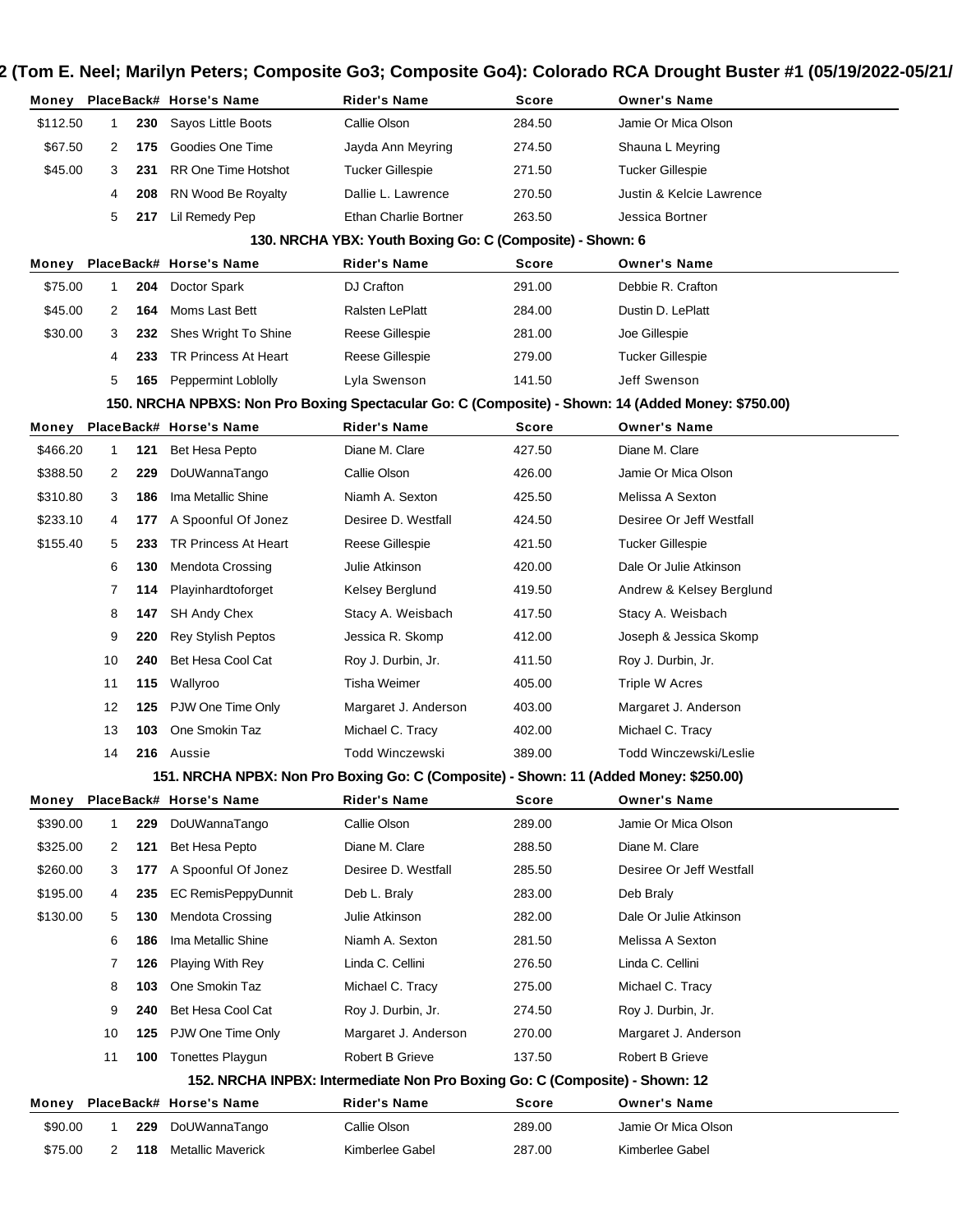|          |              |     | Money PlaceBack# Horse's Name                                                         | Rider's Name                                                                | Score  | <b>Owner's Name</b>                                                                                |
|----------|--------------|-----|---------------------------------------------------------------------------------------|-----------------------------------------------------------------------------|--------|----------------------------------------------------------------------------------------------------|
| \$112.50 | 1            | 230 | Sayos Little Boots                                                                    | Callie Olson                                                                | 284.50 | Jamie Or Mica Olson                                                                                |
| \$67.50  | 2            | 175 | Goodies One Time                                                                      | Jayda Ann Meyring                                                           | 274.50 | Shauna L Meyring                                                                                   |
| \$45.00  | 3            | 231 | <b>RR One Time Hotshot</b>                                                            | Tucker Gillespie                                                            | 271.50 | Tucker Gillespie                                                                                   |
|          | 4            | 208 | RN Wood Be Royalty                                                                    | Dallie L. Lawrence                                                          | 270.50 | Justin & Kelcie Lawrence                                                                           |
|          | 5            | 217 | Lil Remedy Pep                                                                        | <b>Ethan Charlie Bortner</b>                                                | 263.50 | Jessica Bortner                                                                                    |
|          |              |     |                                                                                       | 130. NRCHA YBX: Youth Boxing Go: C (Composite) - Shown: 6                   |        |                                                                                                    |
| Money    |              |     | PlaceBack# Horse's Name                                                               | <b>Rider's Name</b>                                                         | Score  | <b>Owner's Name</b>                                                                                |
| \$75.00  | 1            | 204 | Doctor Spark                                                                          | DJ Crafton                                                                  | 291.00 | Debbie R. Crafton                                                                                  |
| \$45.00  | 2            | 164 | Moms Last Bett                                                                        | Ralsten LePlatt                                                             | 284.00 | Dustin D. LePlatt                                                                                  |
| \$30.00  | 3            | 232 | Shes Wright To Shine                                                                  | Reese Gillespie                                                             | 281.00 | Joe Gillespie                                                                                      |
|          | 4            | 233 | TR Princess At Heart                                                                  | Reese Gillespie                                                             | 279.00 | <b>Tucker Gillespie</b>                                                                            |
|          | 5            | 165 | Peppermint Loblolly                                                                   | Lyla Swenson                                                                | 141.50 | Jeff Swenson                                                                                       |
|          |              |     |                                                                                       |                                                                             |        | 150. NRCHA NPBXS: Non Pro Boxing Spectacular Go: C (Composite) - Shown: 14 (Added Money: \$750.00) |
| Money    |              |     | PlaceBack# Horse's Name                                                               | <b>Rider's Name</b>                                                         | Score  | <b>Owner's Name</b>                                                                                |
| \$466.20 | $\mathbf{1}$ | 121 | Bet Hesa Pepto                                                                        | Diane M. Clare                                                              | 427.50 | Diane M. Clare                                                                                     |
| \$388.50 | 2            | 229 | DoUWannaTango                                                                         | Callie Olson                                                                | 426.00 | Jamie Or Mica Olson                                                                                |
| \$310.80 | 3            | 186 | Ima Metallic Shine                                                                    | Niamh A. Sexton                                                             | 425.50 | Melissa A Sexton                                                                                   |
| \$233.10 | 4            | 177 | A Spoonful Of Jonez                                                                   | Desiree D. Westfall                                                         | 424.50 | Desiree Or Jeff Westfall                                                                           |
| \$155.40 | 5            | 233 | TR Princess At Heart                                                                  | Reese Gillespie                                                             | 421.50 | <b>Tucker Gillespie</b>                                                                            |
|          | 6            | 130 | <b>Mendota Crossing</b>                                                               | Julie Atkinson                                                              | 420.00 | Dale Or Julie Atkinson                                                                             |
|          | 7            | 114 | Playinhardtoforget                                                                    | Kelsey Berglund                                                             | 419.50 | Andrew & Kelsey Berglund                                                                           |
|          | 8            | 147 | <b>SH Andy Chex</b>                                                                   | Stacy A. Weisbach                                                           | 417.50 | Stacy A. Weisbach                                                                                  |
|          | 9            | 220 | <b>Rey Stylish Peptos</b>                                                             | Jessica R. Skomp                                                            | 412.00 | Joseph & Jessica Skomp                                                                             |
|          | 10           | 240 | Bet Hesa Cool Cat                                                                     | Roy J. Durbin, Jr.                                                          | 411.50 | Roy J. Durbin, Jr.                                                                                 |
|          | 11           | 115 | Wallyroo                                                                              | Tisha Weimer                                                                | 405.00 | Triple W Acres                                                                                     |
|          | 12           | 125 | PJW One Time Only                                                                     | Margaret J. Anderson                                                        | 403.00 | Margaret J. Anderson                                                                               |
|          | 13           | 103 | One Smokin Taz                                                                        | Michael C. Tracy                                                            | 402.00 | Michael C. Tracy                                                                                   |
|          | 14           |     | 216 Aussie                                                                            | <b>Todd Winczewski</b>                                                      | 389.00 | Todd Winczewski/Leslie                                                                             |
|          |              |     | 151. NRCHA NPBX: Non Pro Boxing Go: C (Composite) - Shown: 11 (Added Money: \$250.00) |                                                                             |        |                                                                                                    |
|          |              |     | Money PlaceBack# Horse's Name                                                         | <b>Rider's Name</b>                                                         | Score  | <b>Owner's Name</b>                                                                                |
| \$390.00 | 1            | 229 | DoUWannaTango                                                                         | Callie Olson                                                                | 289.00 | Jamie Or Mica Olson                                                                                |
| \$325.00 | 2            | 121 | Bet Hesa Pepto                                                                        | Diane M. Clare                                                              | 288.50 | Diane M. Clare                                                                                     |
| \$260.00 | 3            | 177 | A Spoonful Of Jonez                                                                   | Desiree D. Westfall                                                         | 285.50 | Desiree Or Jeff Westfall                                                                           |
| \$195.00 | 4            | 235 | EC RemisPeppyDunnit                                                                   | Deb L. Braly                                                                | 283.00 | Deb Braly                                                                                          |
| \$130.00 | 5            | 130 | Mendota Crossing                                                                      | Julie Atkinson                                                              | 282.00 | Dale Or Julie Atkinson                                                                             |
|          | 6            | 186 | Ima Metallic Shine                                                                    | Niamh A. Sexton                                                             | 281.50 | Melissa A Sexton                                                                                   |
|          | 7            | 126 | <b>Playing With Rey</b>                                                               | Linda C. Cellini                                                            | 276.50 | Linda C. Cellini                                                                                   |
|          | 8            | 103 | One Smokin Taz                                                                        | Michael C. Tracy                                                            | 275.00 | Michael C. Tracy                                                                                   |
|          | 9            | 240 | Bet Hesa Cool Cat                                                                     | Roy J. Durbin, Jr.                                                          | 274.50 | Roy J. Durbin, Jr.                                                                                 |
|          | 10           | 125 | PJW One Time Only                                                                     | Margaret J. Anderson                                                        | 270.00 | Margaret J. Anderson                                                                               |
|          | 11           | 100 | <b>Tonettes Playgun</b>                                                               | Robert B Grieve                                                             | 137.50 | Robert B Grieve                                                                                    |
|          |              |     |                                                                                       | 152. NRCHA INPBX: Intermediate Non Pro Boxing Go: C (Composite) - Shown: 12 |        |                                                                                                    |
| Money    |              |     | PlaceBack# Horse's Name                                                               | <b>Rider's Name</b>                                                         | Score  | <b>Owner's Name</b>                                                                                |
| \$90.00  | 1            | 229 | DoUWannaTango                                                                         | Callie Olson                                                                | 289.00 | Jamie Or Mica Olson                                                                                |
| \$75.00  | 2            | 118 | <b>Metallic Maverick</b>                                                              | Kimberlee Gabel                                                             | 287.00 | Kimberlee Gabel                                                                                    |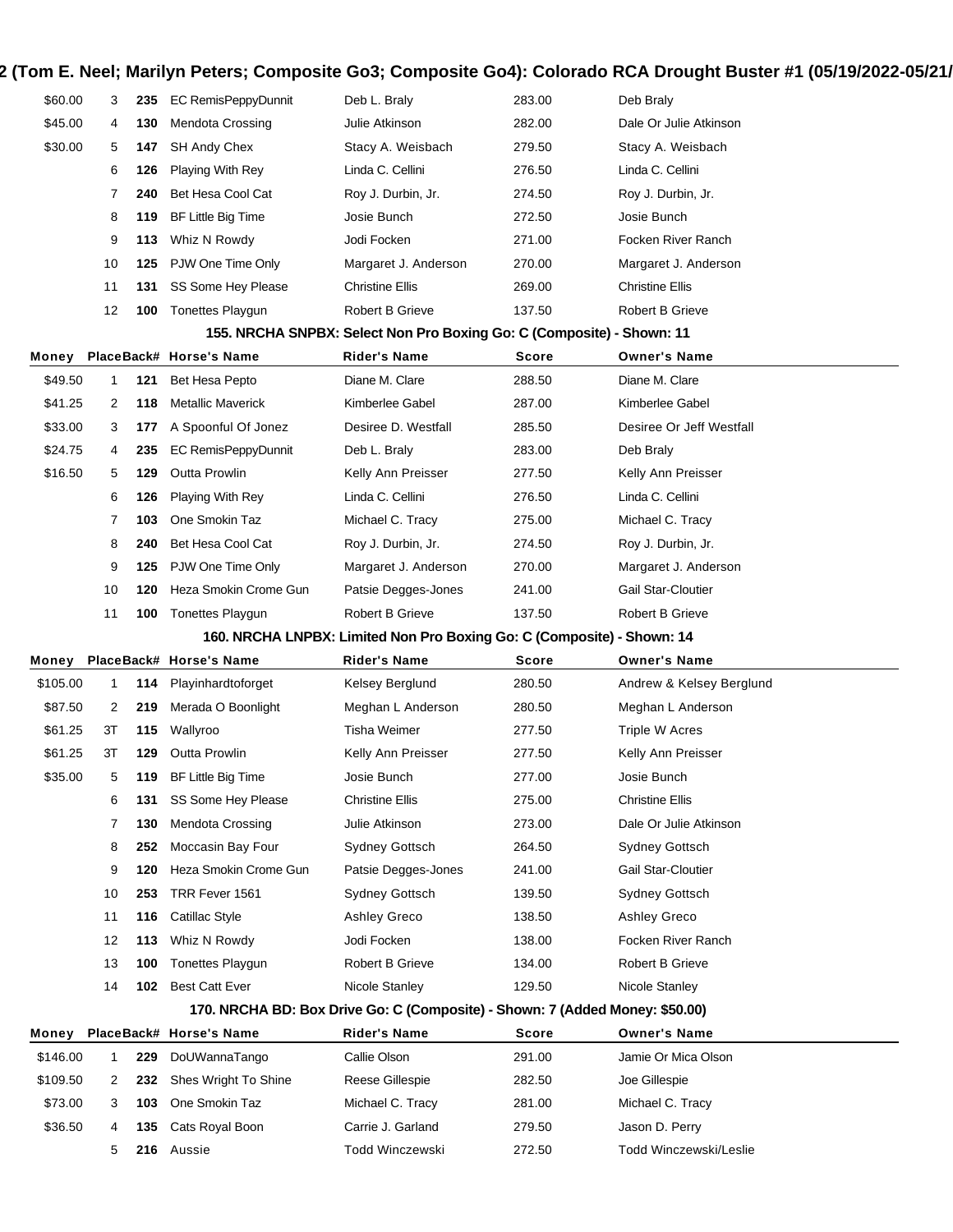| \$60.00  | 3  | 235 | <b>EC RemisPeppyDunnit</b> | Deb L. Braly                                                                 | 283.00 | Deb Braly                |
|----------|----|-----|----------------------------|------------------------------------------------------------------------------|--------|--------------------------|
| \$45.00  | 4  | 130 | Mendota Crossing           | Julie Atkinson                                                               | 282.00 | Dale Or Julie Atkinson   |
| \$30.00  | 5  | 147 | <b>SH Andy Chex</b>        | Stacy A. Weisbach                                                            | 279.50 | Stacy A. Weisbach        |
|          | 6  | 126 | Playing With Rey           | Linda C. Cellini                                                             | 276.50 | Linda C. Cellini         |
|          | 7  | 240 | Bet Hesa Cool Cat          | Roy J. Durbin, Jr.                                                           | 274.50 | Roy J. Durbin, Jr.       |
|          | 8  | 119 | BF Little Big Time         | Josie Bunch                                                                  | 272.50 | Josie Bunch              |
|          | 9  | 113 | Whiz N Rowdy               | Jodi Focken                                                                  | 271.00 | Focken River Ranch       |
|          | 10 | 125 | PJW One Time Only          | Margaret J. Anderson                                                         | 270.00 | Margaret J. Anderson     |
|          | 11 | 131 | SS Some Hey Please         | <b>Christine Ellis</b>                                                       | 269.00 | <b>Christine Ellis</b>   |
|          | 12 | 100 | <b>Tonettes Playgun</b>    | Robert B Grieve                                                              | 137.50 | <b>Robert B Grieve</b>   |
|          |    |     |                            | 155. NRCHA SNPBX: Select Non Pro Boxing Go: C (Composite) - Shown: 11        |        |                          |
| Money    |    |     | PlaceBack# Horse's Name    | Rider's Name                                                                 | Score  | <b>Owner's Name</b>      |
| \$49.50  | 1  | 121 | Bet Hesa Pepto             | Diane M. Clare                                                               | 288.50 | Diane M. Clare           |
| \$41.25  | 2  | 118 | <b>Metallic Maverick</b>   | Kimberlee Gabel                                                              | 287.00 | Kimberlee Gabel          |
| \$33.00  | 3  | 177 | A Spoonful Of Jonez        | Desiree D. Westfall                                                          | 285.50 | Desiree Or Jeff Westfall |
| \$24.75  | 4  | 235 | <b>EC RemisPeppyDunnit</b> | Deb L. Braly                                                                 | 283.00 | Deb Braly                |
| \$16.50  | 5  | 129 | <b>Outta Prowlin</b>       | Kelly Ann Preisser                                                           | 277.50 | Kelly Ann Preisser       |
|          | 6  | 126 | Playing With Rey           | Linda C. Cellini                                                             | 276.50 | Linda C. Cellini         |
|          | 7  | 103 | One Smokin Taz             | Michael C. Tracy                                                             | 275.00 | Michael C. Tracy         |
|          | 8  | 240 | Bet Hesa Cool Cat          | Roy J. Durbin, Jr.                                                           | 274.50 | Roy J. Durbin, Jr.       |
|          | 9  | 125 | PJW One Time Only          | Margaret J. Anderson                                                         | 270.00 | Margaret J. Anderson     |
|          | 10 | 120 | Heza Smokin Crome Gun      | Patsie Degges-Jones                                                          | 241.00 | Gail Star-Cloutier       |
|          | 11 | 100 | <b>Tonettes Playgun</b>    | Robert B Grieve                                                              | 137.50 | Robert B Grieve          |
|          |    |     |                            |                                                                              |        |                          |
|          |    |     |                            |                                                                              |        |                          |
|          |    |     |                            | 160. NRCHA LNPBX: Limited Non Pro Boxing Go: C (Composite) - Shown: 14       |        |                          |
| Money    |    |     | PlaceBack# Horse's Name    | Rider's Name                                                                 | Score  | <b>Owner's Name</b>      |
| \$105.00 | 1  | 114 | Playinhardtoforget         | Kelsey Berglund                                                              | 280.50 | Andrew & Kelsey Berglund |
| \$87.50  | 2  | 219 | Merada O Boonlight         | Meghan L Anderson                                                            | 280.50 | Meghan L Anderson        |
| \$61.25  | ЗT | 115 | Wallyroo                   | Tisha Weimer                                                                 | 277.50 | <b>Triple W Acres</b>    |
| \$61.25  | 3T | 129 | <b>Outta Prowlin</b>       | Kelly Ann Preisser                                                           | 277.50 | Kelly Ann Preisser       |
| \$35.00  | 5  | 119 | BF Little Big Time         | Josie Bunch                                                                  | 277.00 | Josie Bunch              |
|          | 6  | 131 | SS Some Hey Please         | <b>Christine Ellis</b>                                                       | 275.00 | <b>Christine Ellis</b>   |
|          | 7  | 130 | Mendota Crossing           | Julie Atkinson                                                               | 273.00 | Dale Or Julie Atkinson   |
|          | 8  | 252 | Moccasin Bay Four          | Sydney Gottsch                                                               | 264.50 | Sydney Gottsch           |
|          | 9  | 120 | Heza Smokin Crome Gun      | Patsie Degges-Jones                                                          | 241.00 | Gail Star-Cloutier       |
|          | 10 | 253 | TRR Fever 1561             | Sydney Gottsch                                                               | 139.50 | Sydney Gottsch           |
|          | 11 | 116 | Catillac Style             | Ashley Greco                                                                 | 138.50 | Ashley Greco             |
|          | 12 | 113 | Whiz N Rowdy               | Jodi Focken                                                                  | 138.00 | Focken River Ranch       |
|          | 13 | 100 | Tonettes Playgun           | Robert B Grieve                                                              | 134.00 | <b>Robert B Grieve</b>   |
|          | 14 | 102 | <b>Best Catt Ever</b>      | Nicole Stanley                                                               | 129.50 | Nicole Stanley           |
|          |    |     |                            | 170. NRCHA BD: Box Drive Go: C (Composite) - Shown: 7 (Added Money: \$50.00) |        |                          |
| Money    |    |     | PlaceBack# Horse's Name    | <b>Rider's Name</b>                                                          | Score  | <b>Owner's Name</b>      |
| \$146.00 | 1  | 229 | DoUWannaTango              | Callie Olson                                                                 | 291.00 | Jamie Or Mica Olson      |
| \$109.50 | 2  | 232 | Shes Wright To Shine       | Reese Gillespie                                                              | 282.50 | Joe Gillespie            |
| \$73.00  | 3  | 103 | One Smokin Taz             | Michael C. Tracy                                                             | 281.00 | Michael C. Tracy         |
| \$36.50  | 4  | 135 | Cats Royal Boon            | Carrie J. Garland                                                            | 279.50 | Jason D. Perry           |